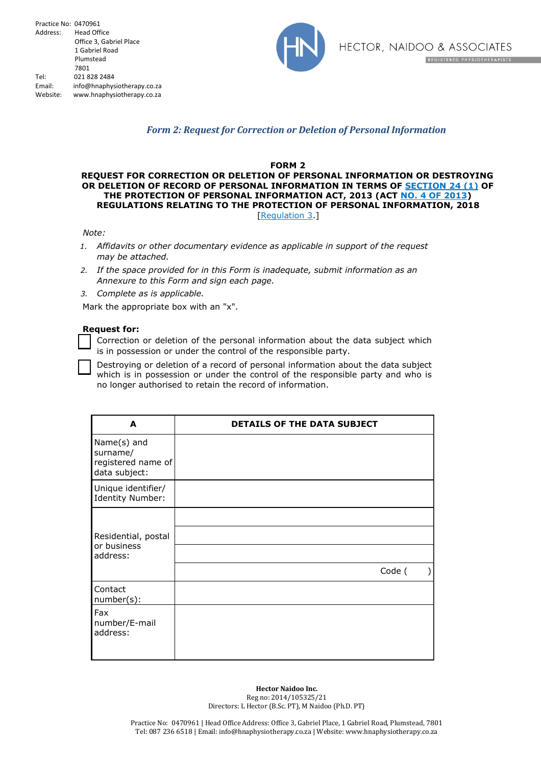

# *Form 2: Request for Correction or Deletion of Personal Information*

### **FORM 2**

## **REQUEST FOR CORRECTION OR DELETION OF PERSONAL INFORMATION OR DESTROYING OR DELETION OF RECORD OF PERSONAL INFORMATION IN TERMS OF SECTION 24 (1) OF THE PROTECTION OF PERSONAL INFORMATION ACT, 2013 (ACT NO. 4 OF 2013) REGULATIONS RELATING TO THE PROTECTION OF PERSONAL INFORMATION, 2018** [Regulation 3.]

#### *Note:*

- *1. Affidavits or other documentary evidence as applicable in support of the request may be attached.*
- *2. If the space provided for in this Form is inadequate, submit information as an Annexure to this Form and sign each page.*
- *3. Complete as is applicable.*

Mark the appropriate box with an "x".

## **Request for:**

Correction or deletion of the personal information about the data subject which is in possession or under the control of the responsible party.

Destroying or deletion of a record of personal information about the data subject which is in possession or under the control of the responsible party and who is no longer authorised to retain the record of information.

| A                                                              | <b>DETAILS OF THE DATA SUBJECT</b> |        |           |
|----------------------------------------------------------------|------------------------------------|--------|-----------|
| Name(s) and<br>surname/<br>registered name of<br>data subject: |                                    |        |           |
| Unique identifier/<br>Identity Number:                         |                                    |        |           |
| Residential, postal<br>or business<br>address:                 |                                    | Code ( | $\lambda$ |
| Contact<br>number(s):                                          |                                    |        |           |
| Fax<br>number/E-mail<br>address:                               |                                    |        |           |

**Hector Naidoo Inc.** Reg no: 2014/105325/21 Directors: L Hector (B.Sc. PT), M Naidoo (Ph.D. PT)